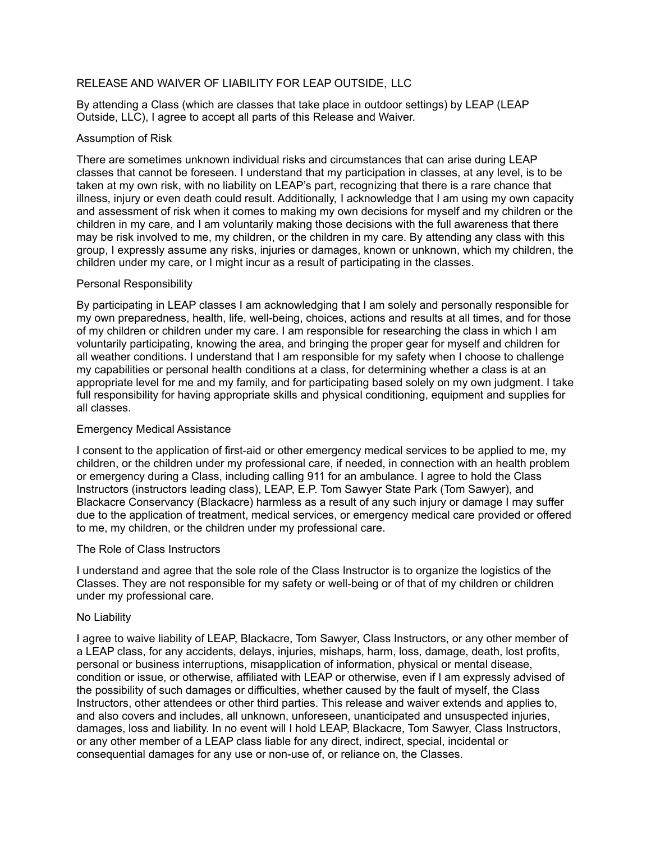## RELEASE AND WAIVER OF LIABILITY FOR LEAP OUTSIDE, LLC

By attending a Class (which are classes that take place in outdoor settings) by LEAP (LEAP Outside, LLC), I agree to accept all parts of this Release and Waiver.

#### Assumption of Risk

There are sometimes unknown individual risks and circumstances that can arise during LEAP classes that cannot be foreseen. I understand that my participation in classes, at any level, is to be taken at my own risk, with no liability on LEAP's part, recognizing that there is a rare chance that illness, injury or even death could result. Additionally, I acknowledge that I am using my own capacity and assessment of risk when it comes to making my own decisions for myself and my children or the children in my care, and I am voluntarily making those decisions with the full awareness that there may be risk involved to me, my children, or the children in my care. By attending any class with this group, I expressly assume any risks, injuries or damages, known or unknown, which my children, the children under my care, or I might incur as a result of participating in the classes.

### Personal Responsibility

By participating in LEAP classes I am acknowledging that I am solely and personally responsible for my own preparedness, health, life, well-being, choices, actions and results at all times, and for those of my children or children under my care. I am responsible for researching the class in which I am voluntarily participating, knowing the area, and bringing the proper gear for myself and children for all weather conditions. I understand that I am responsible for my safety when I choose to challenge my capabilities or personal health conditions at a class, for determining whether a class is at an appropriate level for me and my family, and for participating based solely on my own judgment. I take full responsibility for having appropriate skills and physical conditioning, equipment and supplies for all classes.

### Emergency Medical Assistance

I consent to the application of first-aid or other emergency medical services to be applied to me, my children, or the children under my professional care, if needed, in connection with an health problem or emergency during a Class, including calling 911 for an ambulance. I agree to hold the Class Instructors (instructors leading class), LEAP, E.P. Tom Sawyer State Park (Tom Sawyer), and Blackacre Conservancy (Blackacre) harmless as a result of any such injury or damage I may suffer due to the application of treatment, medical services, or emergency medical care provided or offered to me, my children, or the children under my professional care.

### The Role of Class Instructors

I understand and agree that the sole role of the Class Instructor is to organize the logistics of the Classes. They are not responsible for my safety or well-being or of that of my children or children under my professional care.

### No Liability

I agree to waive liability of LEAP, Blackacre, Tom Sawyer, Class Instructors, or any other member of a LEAP class, for any accidents, delays, injuries, mishaps, harm, loss, damage, death, lost profits, personal or business interruptions, misapplication of information, physical or mental disease, condition or issue, or otherwise, affiliated with LEAP or otherwise, even if I am expressly advised of the possibility of such damages or difficulties, whether caused by the fault of myself, the Class Instructors, other attendees or other third parties. This release and waiver extends and applies to, and also covers and includes, all unknown, unforeseen, unanticipated and unsuspected injuries, damages, loss and liability. In no event will I hold LEAP, Blackacre, Tom Sawyer, Class Instructors, or any other member of a LEAP class liable for any direct, indirect, special, incidental or consequential damages for any use or non-use of, or reliance on, the Classes.